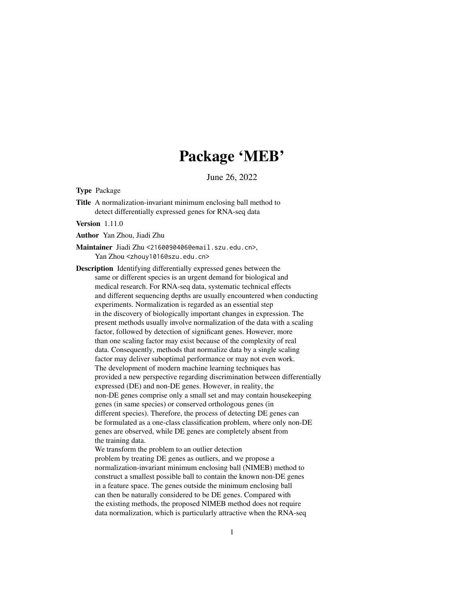## Package 'MEB'

June 26, 2022

Type Package

Title A normalization-invariant minimum enclosing ball method to detect differentially expressed genes for RNA-seq data

Version 1.11.0

Author Yan Zhou, Jiadi Zhu

Maintainer Jiadi Zhu <2160090406@email.szu.edu.cn>, Yan Zhou <zhouy1016@szu.edu.cn>

Description Identifying differentially expressed genes between the same or different species is an urgent demand for biological and medical research. For RNA-seq data, systematic technical effects and different sequencing depths are usually encountered when conducting experiments. Normalization is regarded as an essential step in the discovery of biologically important changes in expression. The present methods usually involve normalization of the data with a scaling factor, followed by detection of significant genes. However, more than one scaling factor may exist because of the complexity of real data. Consequently, methods that normalize data by a single scaling factor may deliver suboptimal performance or may not even work. The development of modern machine learning techniques has provided a new perspective regarding discrimination between differentially expressed (DE) and non-DE genes. However, in reality, the non-DE genes comprise only a small set and may contain housekeeping genes (in same species) or conserved orthologous genes (in different species). Therefore, the process of detecting DE genes can be formulated as a one-class classification problem, where only non-DE genes are observed, while DE genes are completely absent from the training data.

We transform the problem to an outlier detection problem by treating DE genes as outliers, and we propose a normalization-invariant minimum enclosing ball (NIMEB) method to construct a smallest possible ball to contain the known non-DE genes in a feature space. The genes outside the minimum enclosing ball can then be naturally considered to be DE genes. Compared with the existing methods, the proposed NIMEB method does not require data normalization, which is particularly attractive when the RNA-seq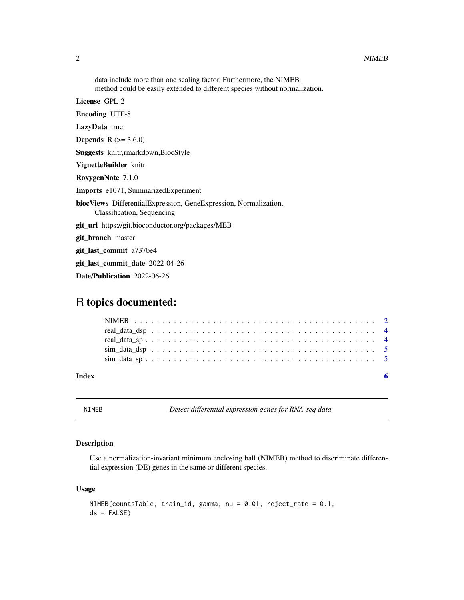<span id="page-1-0"></span>data include more than one scaling factor. Furthermore, the NIMEB method could be easily extended to different species without normalization. License GPL-2 Encoding UTF-8 LazyData true **Depends** R  $(>= 3.6.0)$ Suggests knitr,rmarkdown,BiocStyle VignetteBuilder knitr RoxygenNote 7.1.0 Imports e1071, SummarizedExperiment biocViews DifferentialExpression, GeneExpression, Normalization, Classification, Sequencing git\_url https://git.bioconductor.org/packages/MEB git\_branch master git\_last\_commit a737be4 git last commit date 2022-04-26 Date/Publication 2022-06-26

### R topics documented:

| Index |  |  |  |  |  |  |  |  |  |  |  |  |  |  |  |  |  |  |  |
|-------|--|--|--|--|--|--|--|--|--|--|--|--|--|--|--|--|--|--|--|
|       |  |  |  |  |  |  |  |  |  |  |  |  |  |  |  |  |  |  |  |
|       |  |  |  |  |  |  |  |  |  |  |  |  |  |  |  |  |  |  |  |
|       |  |  |  |  |  |  |  |  |  |  |  |  |  |  |  |  |  |  |  |
|       |  |  |  |  |  |  |  |  |  |  |  |  |  |  |  |  |  |  |  |
|       |  |  |  |  |  |  |  |  |  |  |  |  |  |  |  |  |  |  |  |

NIMEB *Detect differential expression genes for RNA-seq data*

#### Description

Use a normalization-invariant minimum enclosing ball (NIMEB) method to discriminate differential expression (DE) genes in the same or different species.

#### Usage

```
NIMEB(countsTable, train_id, gamma, nu = 0.01, reject_rate = 0.1,
ds = FALSE)
```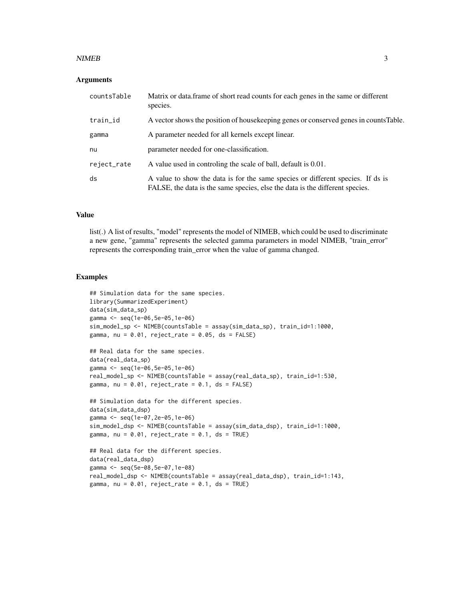#### $NIMEB$  3

#### **Arguments**

| countsTable | Matrix or data. frame of short read counts for each genes in the same or different<br>species.                                                                  |
|-------------|-----------------------------------------------------------------------------------------------------------------------------------------------------------------|
| train_id    | A vector shows the position of house keeping genes or conserved genes in counts Table.                                                                          |
| gamma       | A parameter needed for all kernels except linear.                                                                                                               |
| nu          | parameter needed for one-classification.                                                                                                                        |
| reject_rate | A value used in controling the scale of ball, default is 0.01.                                                                                                  |
| ds          | A value to show the data is for the same species or different species. If ds is<br>FALSE, the data is the same species, else the data is the different species. |

#### Value

list(.) A list of results, "model" represents the model of NIMEB, which could be used to discriminate a new gene, "gamma" represents the selected gamma parameters in model NIMEB, "train\_error" represents the corresponding train\_error when the value of gamma changed.

#### Examples

```
## Simulation data for the same species.
library(SummarizedExperiment)
data(sim_data_sp)
gamma <- seq(1e-06,5e-05,1e-06)
sim_model_sp <- NIMEB(countsTable = assay(sim_data_sp), train_id=1:1000,
gamma, nu = 0.01, reject_rate = 0.05, ds = FALSE)
## Real data for the same species.
data(real_data_sp)
gamma <- seq(1e-06,5e-05,1e-06)
real_model_sp <- NIMEB(countsTable = assay(real_data_sp), train_id=1:530,
gamma, nu = 0.01, reject_rate = 0.1, ds = FALSE)## Simulation data for the different species.
data(sim_data_dsp)
gamma <- seq(1e-07,2e-05,1e-06)
sim_model_dsp <- NIMEB(countsTable = assay(sim_data_dsp), train_id=1:1000,
gamma, nu = 0.01, reject_rate = 0.1, ds = TRUE)
## Real data for the different species.
data(real_data_dsp)
gamma <- seq(5e-08,5e-07,1e-08)
real_model_dsp <- NIMEB(countsTable = assay(real_data_dsp), train_id=1:143,
gamma, nu = 0.01, reject_rate = 0.1, ds = TRUE)
```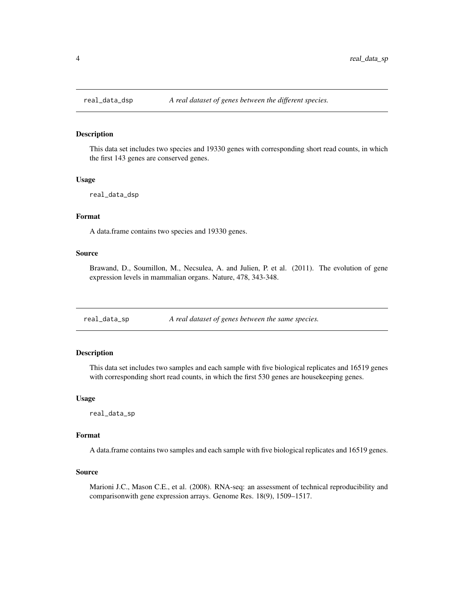<span id="page-3-0"></span>

#### Description

This data set includes two species and 19330 genes with corresponding short read counts, in which the first 143 genes are conserved genes.

#### Usage

real\_data\_dsp

#### Format

A data.frame contains two species and 19330 genes.

#### Source

Brawand, D., Soumillon, M., Necsulea, A. and Julien, P. et al. (2011). The evolution of gene expression levels in mammalian organs. Nature, 478, 343-348.

real\_data\_sp *A real dataset of genes between the same species.*

#### Description

This data set includes two samples and each sample with five biological replicates and 16519 genes with corresponding short read counts, in which the first 530 genes are housekeeping genes.

#### Usage

real\_data\_sp

#### Format

A data.frame contains two samples and each sample with five biological replicates and 16519 genes.

#### Source

Marioni J.C., Mason C.E., et al. (2008). RNA-seq: an assessment of technical reproducibility and comparisonwith gene expression arrays. Genome Res. 18(9), 1509–1517.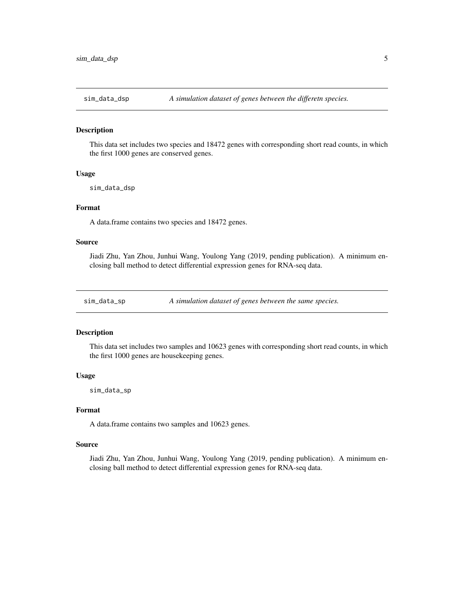<span id="page-4-0"></span>

#### Description

This data set includes two species and 18472 genes with corresponding short read counts, in which the first 1000 genes are conserved genes.

#### Usage

sim\_data\_dsp

#### Format

A data.frame contains two species and 18472 genes.

#### Source

Jiadi Zhu, Yan Zhou, Junhui Wang, Youlong Yang (2019, pending publication). A minimum enclosing ball method to detect differential expression genes for RNA-seq data.

sim\_data\_sp *A simulation dataset of genes between the same species.*

#### Description

This data set includes two samples and 10623 genes with corresponding short read counts, in which the first 1000 genes are housekeeping genes.

#### Usage

sim\_data\_sp

#### Format

A data.frame contains two samples and 10623 genes.

#### Source

Jiadi Zhu, Yan Zhou, Junhui Wang, Youlong Yang (2019, pending publication). A minimum enclosing ball method to detect differential expression genes for RNA-seq data.